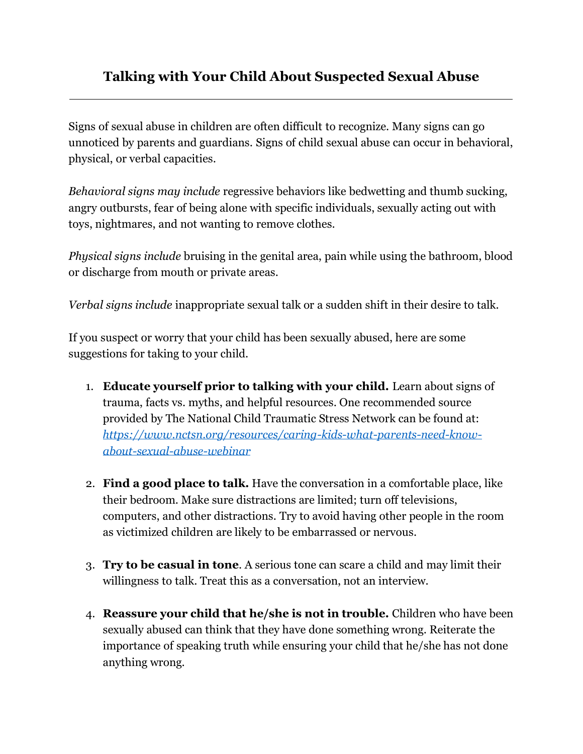## **Talking with Your Child About Suspected Sexual Abuse**

Signs of sexual abuse in children are often difficult to recognize. Many signs can go unnoticed by parents and guardians. Signs of child sexual abuse can occur in behavioral, physical, or verbal capacities.

*Behavioral signs may include* regressive behaviors like bedwetting and thumb sucking, angry outbursts, fear of being alone with specific individuals, sexually acting out with toys, nightmares, and not wanting to remove clothes.

*Physical signs include* bruising in the genital area, pain while using the bathroom, blood or discharge from mouth or private areas.

*Verbal signs include* inappropriate sexual talk or a sudden shift in their desire to talk.

If you suspect or worry that your child has been sexually abused, here are some suggestions for taking to your child.

- 1. **Educate yourself prior to talking with your child.** Learn about signs of trauma, facts vs. myths, and helpful resources. One recommended source provided by The National Child Traumatic Stress Network can be found at: *[https://www.nctsn.org/resources/caring-kids-what-parents-need-know](https://www.nctsn.org/resources/caring-kids-what-parents-need-know-about-sexual-abuse-webinar)[about-sexual-abuse-webinar](https://www.nctsn.org/resources/caring-kids-what-parents-need-know-about-sexual-abuse-webinar)*
- 2. **Find a good place to talk.** Have the conversation in a comfortable place, like their bedroom. Make sure distractions are limited; turn off televisions, computers, and other distractions. Try to avoid having other people in the room as victimized children are likely to be embarrassed or nervous.
- 3. **Try to be casual in tone**. A serious tone can scare a child and may limit their willingness to talk. Treat this as a conversation, not an interview.
- 4. **Reassure your child that he/she is not in trouble.** Children who have been sexually abused can think that they have done something wrong. Reiterate the importance of speaking truth while ensuring your child that he/she has not done anything wrong.